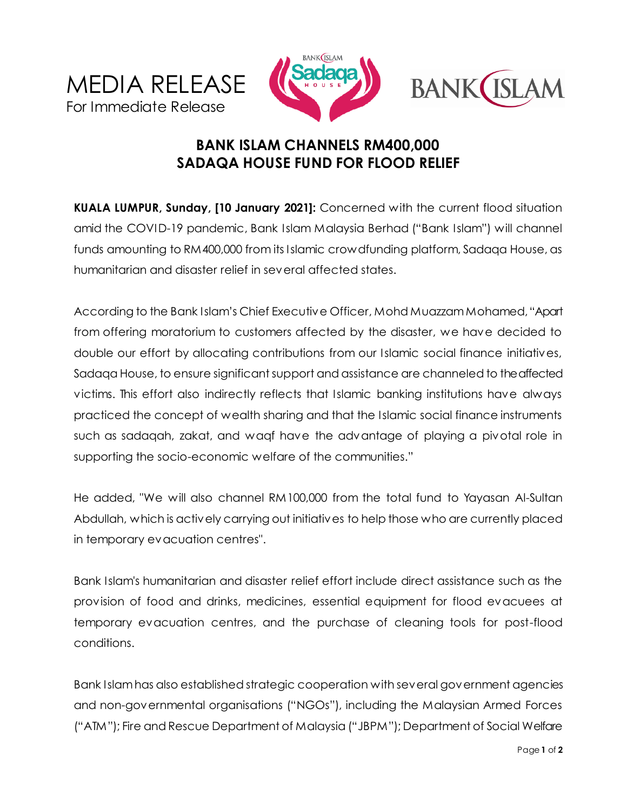





## **BANK ISLAM CHANNELS RM400,000 SADAQA HOUSE FUND FOR FLOOD RELIEF**

**KUALA LUMPUR, Sunday, [10 January 2021]:** Concerned with the current flood situation amid the COVID-19 pandemic, Bank Islam Malaysia Berhad ("Bank Islam") will channel funds amounting to RM400,000 from its Islamic crowdfunding platform, Sadaqa House, as humanitarian and disaster relief in several affected states.

According to the Bank Islam's Chief Executive Officer, Mohd Muazzam Mohamed, "Apart from offering moratorium to customers affected by the disaster, we have decided to double our effort by allocating contributions from our Islamic social finance initiatives, Sadaqa House, to ensure significant support and assistance are channeled to the affected victims. This effort also indirectly reflects that Islamic banking institutions have always practiced the concept of wealth sharing and that the Islamic social finance instruments such as sadaqah, zakat, and waqf have the advantage of playing a pivotal role in supporting the socio-economic welfare of the communities."

He added, "We will also channel RM100,000 from the total fund to Yayasan Al-Sultan Abdullah, which is actively carrying out initiatives to help those who are currently placed in temporary evacuation centres".

Bank Islam's humanitarian and disaster relief effort include direct assistance such as the provision of food and drinks, medicines, essential equipment for flood evacuees at temporary evacuation centres, and the purchase of cleaning tools for post-flood conditions.

Bank Islamhas also established strategic cooperation with several government agencies and non-governmental organisations ("NGOs"), including the Malaysian Armed Forces ("ATM"); Fire and Rescue Department of Malaysia ("JBPM"); Department of Social Welfare